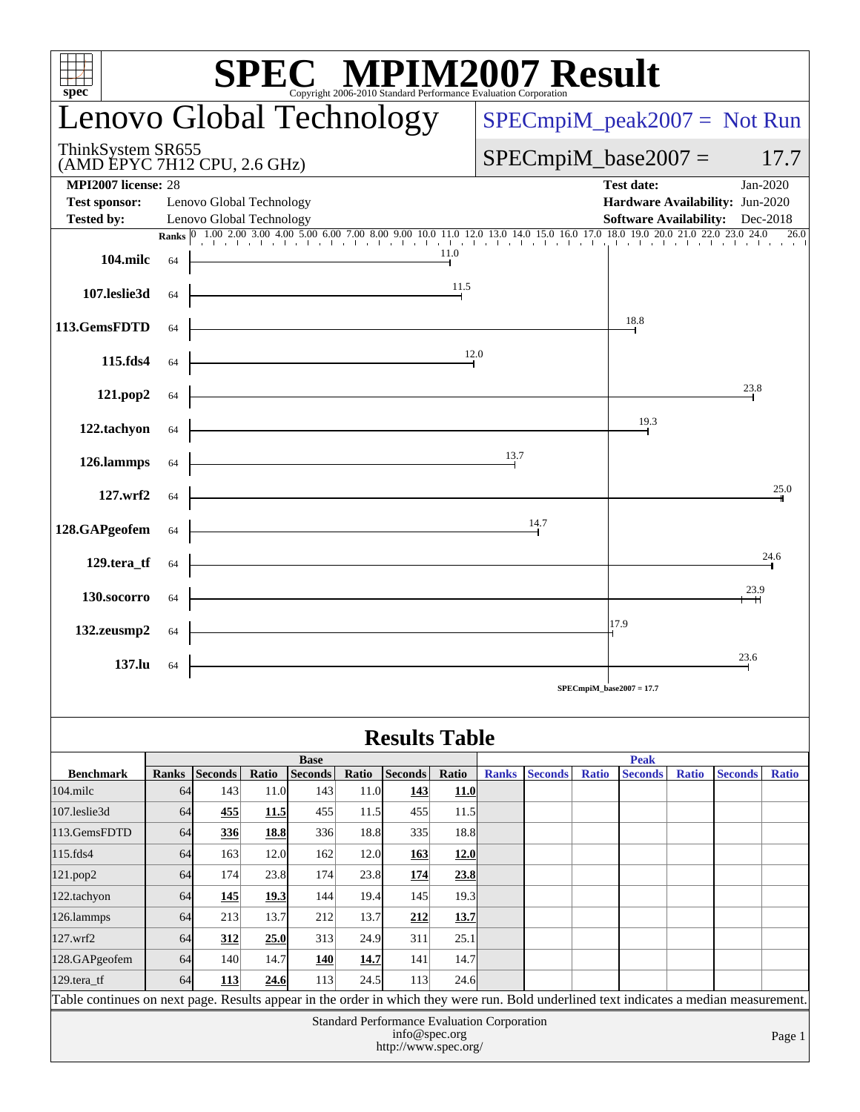| $spec^*$                                                                                                                                                                                                                                                                                                                                                                    |              |                          |             |                               |       |                |                               |                       | $\mathbf{SPEC}_{\text{Copyright 2006-2010 Standard Performance Evaluation Corporation}}^{\circledR}$ |              |                               |       |                                 |              |
|-----------------------------------------------------------------------------------------------------------------------------------------------------------------------------------------------------------------------------------------------------------------------------------------------------------------------------------------------------------------------------|--------------|--------------------------|-------------|-------------------------------|-------|----------------|-------------------------------|-----------------------|------------------------------------------------------------------------------------------------------|--------------|-------------------------------|-------|---------------------------------|--------------|
| Lenovo Global Technology                                                                                                                                                                                                                                                                                                                                                    |              |                          |             |                               |       |                | $SPECmpiM_peak2007 = Not Run$ |                       |                                                                                                      |              |                               |       |                                 |              |
| ThinkSystem SR655<br>(AMD EPYC 7H12 CPU, 2.6 GHz)                                                                                                                                                                                                                                                                                                                           |              |                          |             |                               |       |                |                               | $SPECmpiM_base2007 =$ |                                                                                                      |              |                               |       |                                 | 17.7         |
| <b>MPI2007</b> license: 28<br><b>Test date:</b><br>Jan-2020                                                                                                                                                                                                                                                                                                                 |              |                          |             |                               |       |                |                               |                       |                                                                                                      |              |                               |       |                                 |              |
| <b>Test sponsor:</b>                                                                                                                                                                                                                                                                                                                                                        |              | Lenovo Global Technology |             |                               |       |                |                               |                       |                                                                                                      |              |                               |       | Hardware Availability: Jun-2020 |              |
| <b>Tested by:</b><br><b>Software Availability:</b> Dec-2018<br>Lenovo Global Technology<br><b>Ranks</b> $\begin{bmatrix} 0 & 1.00 & 2.00 & 3.00 & 4.00 & 5.00 & 6.00 & 7.00 & 8.00 & 9.00 & 10.0 & 11.0 & 12.0 & 13.0 & 14.0 & 15.0 & 16.0 & 17.0 & 18.0 & 19.0 & 20.0 & 21.0 & 22.0 & 23.0 & 24.0 & 26.0 & 26.0 & 27.0 & 28.0 & 28.0 & 29.0 & 20.0 & 21.0 & 20.0 & 21.0 &$ |              |                          |             |                               |       |                |                               |                       |                                                                                                      |              |                               |       |                                 |              |
| 104.milc                                                                                                                                                                                                                                                                                                                                                                    | 64           |                          |             |                               |       |                | 11.0                          |                       |                                                                                                      |              |                               |       |                                 |              |
| 107.leslie3d                                                                                                                                                                                                                                                                                                                                                                | 64           | 11.5                     |             |                               |       |                |                               |                       |                                                                                                      |              |                               |       |                                 |              |
| 113.GemsFDTD                                                                                                                                                                                                                                                                                                                                                                | 64           | 18.8                     |             |                               |       |                |                               |                       |                                                                                                      |              |                               |       |                                 |              |
| 115.fds4                                                                                                                                                                                                                                                                                                                                                                    | 64           | 12.0                     |             |                               |       |                |                               |                       |                                                                                                      |              |                               |       |                                 |              |
| 121.pop2                                                                                                                                                                                                                                                                                                                                                                    | 64           |                          |             |                               |       |                |                               |                       |                                                                                                      |              |                               |       | 23.8                            |              |
| 122.tachyon                                                                                                                                                                                                                                                                                                                                                                 | 64           |                          | 19.3        |                               |       |                |                               |                       |                                                                                                      |              |                               |       |                                 |              |
| 126.lammps                                                                                                                                                                                                                                                                                                                                                                  | 64           |                          |             |                               |       |                |                               | 13.7                  |                                                                                                      |              |                               |       |                                 |              |
| 127. <sub>wrf2</sub>                                                                                                                                                                                                                                                                                                                                                        | 64           |                          |             |                               |       |                |                               |                       |                                                                                                      |              |                               |       |                                 | 25.0         |
| 128.GAPgeofem                                                                                                                                                                                                                                                                                                                                                               | 64           |                          |             |                               |       |                |                               |                       | 14.7                                                                                                 |              |                               |       |                                 |              |
| 129.tera_tf<br>64                                                                                                                                                                                                                                                                                                                                                           |              |                          |             |                               |       |                |                               |                       |                                                                                                      | 24.6         |                               |       |                                 |              |
| 130.socorro                                                                                                                                                                                                                                                                                                                                                                 | 64           |                          | 23.9        |                               |       |                |                               |                       |                                                                                                      |              |                               |       |                                 |              |
| 17.9<br>132.zeusmp2<br>64                                                                                                                                                                                                                                                                                                                                                   |              |                          |             |                               |       |                |                               |                       |                                                                                                      |              |                               |       |                                 |              |
| 23.6<br>137.lu<br>64<br>$SPECmpiM_base2007 = 17.7$                                                                                                                                                                                                                                                                                                                          |              |                          |             |                               |       |                |                               |                       |                                                                                                      |              |                               |       |                                 |              |
| <b>Results Table</b>                                                                                                                                                                                                                                                                                                                                                        |              |                          |             |                               |       |                |                               |                       |                                                                                                      |              |                               |       |                                 |              |
| <b>Benchmark</b>                                                                                                                                                                                                                                                                                                                                                            | <b>Ranks</b> | Seconds                  | Ratio       | <b>Base</b><br><b>Seconds</b> | Ratio | <b>Seconds</b> | Ratio                         | <b>Ranks</b>          | <b>Seconds</b>                                                                                       | <b>Ratio</b> | <b>Peak</b><br><b>Seconds</b> | Ratio | <b>Seconds</b>                  | <b>Ratio</b> |
| 104.milc                                                                                                                                                                                                                                                                                                                                                                    | 64           | 143                      | 11.0        | 143                           | 11.0  | 143            | 11.0                          |                       |                                                                                                      |              |                               |       |                                 |              |
| 107.leslie3d                                                                                                                                                                                                                                                                                                                                                                | 64           | 455                      | <u>11.5</u> | 455                           | 11.5  | 455            | 11.5                          |                       |                                                                                                      |              |                               |       |                                 |              |
| 113.GemsFDTD                                                                                                                                                                                                                                                                                                                                                                | 64           | 336                      | 18.8        | 336                           | 18.8  | 335            | 18.8                          |                       |                                                                                                      |              |                               |       |                                 |              |
| 115.fds4                                                                                                                                                                                                                                                                                                                                                                    | 64           | 163                      | 12.0        | 162                           | 12.0  | <b>163</b>     | 12.0                          |                       |                                                                                                      |              |                               |       |                                 |              |
| 121.pop2                                                                                                                                                                                                                                                                                                                                                                    | 64           | 174                      | 23.8        | 174                           | 23.8  | 174            | 23.8                          |                       |                                                                                                      |              |                               |       |                                 |              |
| 122.tachyon                                                                                                                                                                                                                                                                                                                                                                 | 64           | 145                      | <u>19.3</u> | 144                           | 19.4  | 145            | 19.3                          |                       |                                                                                                      |              |                               |       |                                 |              |
| 126.lammps                                                                                                                                                                                                                                                                                                                                                                  | 64           | 213                      | 13.7        | 212                           | 13.7  | 212            | 13.7                          |                       |                                                                                                      |              |                               |       |                                 |              |
| 127.wrf2                                                                                                                                                                                                                                                                                                                                                                    | 64           | 312                      | 25.0        | 313                           | 24.9  | 311            | 25.1                          |                       |                                                                                                      |              |                               |       |                                 |              |
| 128.GAPgeofem                                                                                                                                                                                                                                                                                                                                                               | 64           | 140                      | 14.7        | 140                           | 14.7  | 141            | 14.7                          |                       |                                                                                                      |              |                               |       |                                 |              |
| 129.tera_tf                                                                                                                                                                                                                                                                                                                                                                 | 64           | 113                      | 24.6        | 113                           | 24.5  | 113            | 24.6                          |                       |                                                                                                      |              |                               |       |                                 |              |
| Table continues on next page. Results appear in the order in which they were run. Bold underlined text indicates a median measurement.                                                                                                                                                                                                                                      |              |                          |             |                               |       |                |                               |                       |                                                                                                      |              |                               |       |                                 |              |
| Standard Performance Evaluation Corporation<br>info@spec.org<br>Page 1<br>http://www.spec.org/                                                                                                                                                                                                                                                                              |              |                          |             |                               |       |                |                               |                       |                                                                                                      |              |                               |       |                                 |              |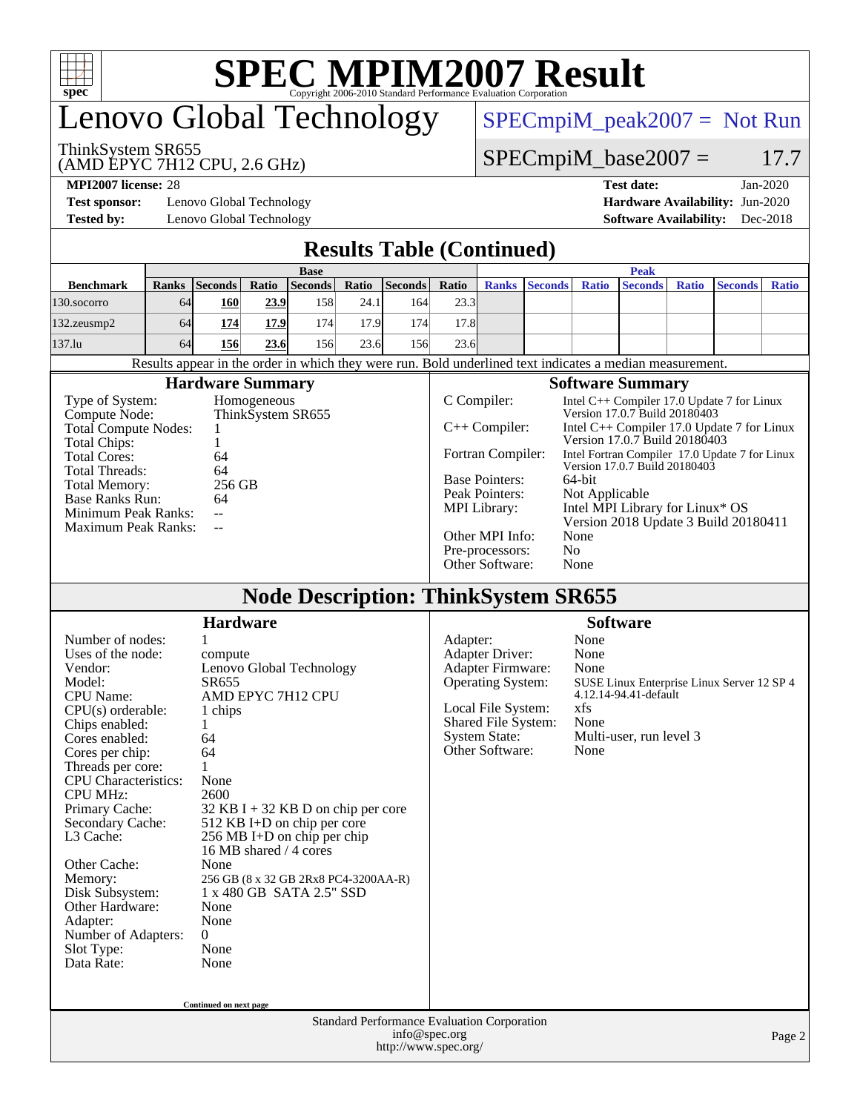

# **[SPEC MPIM2007 Result](http://www.spec.org/auto/mpi2007/Docs/result-fields.html#SPECMPIM2007Result)**

# enovo Global Technology

[SPECmpiM\\_peak2007 =](http://www.spec.org/auto/mpi2007/Docs/result-fields.html#SPECmpiMpeak2007) Not Run

### ThinkSystem SR655

(AMD EPYC 7H12 CPU, 2.6 GHz)

 $SPECmpiM_base2007 = 17.7$  $SPECmpiM_base2007 = 17.7$ 

**[Test sponsor:](http://www.spec.org/auto/mpi2007/Docs/result-fields.html#Testsponsor)** Lenovo Global Technology **[Hardware Availability:](http://www.spec.org/auto/mpi2007/Docs/result-fields.html#HardwareAvailability)** Jun-2020

### **[MPI2007 license:](http://www.spec.org/auto/mpi2007/Docs/result-fields.html#MPI2007license)** 28 **[Test date:](http://www.spec.org/auto/mpi2007/Docs/result-fields.html#Testdate)** Jan-2020 **[Tested by:](http://www.spec.org/auto/mpi2007/Docs/result-fields.html#Testedby)** Lenovo Global Technology **[Software Availability:](http://www.spec.org/auto/mpi2007/Docs/result-fields.html#SoftwareAvailability)** Dec-2018

### **[Results Table \(Continued\)](http://www.spec.org/auto/mpi2007/Docs/result-fields.html#ResultsTable)**

|                                                                                                                                                                                                                                                                                                                                                                                                                                                                                                                                                                                                                                                                                                                                                                                                                           |              |                        |       |                |       | <b>Results Table (Continued)</b>                                                                                                                                                                                                                                                                                                                                                                                                                                                                                                                                         |                 |                                                                                                                                                                                                                                                                                                                              |                |              |                         |              |                |              |  |
|---------------------------------------------------------------------------------------------------------------------------------------------------------------------------------------------------------------------------------------------------------------------------------------------------------------------------------------------------------------------------------------------------------------------------------------------------------------------------------------------------------------------------------------------------------------------------------------------------------------------------------------------------------------------------------------------------------------------------------------------------------------------------------------------------------------------------|--------------|------------------------|-------|----------------|-------|--------------------------------------------------------------------------------------------------------------------------------------------------------------------------------------------------------------------------------------------------------------------------------------------------------------------------------------------------------------------------------------------------------------------------------------------------------------------------------------------------------------------------------------------------------------------------|-----------------|------------------------------------------------------------------------------------------------------------------------------------------------------------------------------------------------------------------------------------------------------------------------------------------------------------------------------|----------------|--------------|-------------------------|--------------|----------------|--------------|--|
|                                                                                                                                                                                                                                                                                                                                                                                                                                                                                                                                                                                                                                                                                                                                                                                                                           | <b>Peak</b>  |                        |       |                |       |                                                                                                                                                                                                                                                                                                                                                                                                                                                                                                                                                                          |                 |                                                                                                                                                                                                                                                                                                                              |                |              |                         |              |                |              |  |
| <b>Benchmark</b>                                                                                                                                                                                                                                                                                                                                                                                                                                                                                                                                                                                                                                                                                                                                                                                                          | <b>Ranks</b> | <b>Seconds</b>         | Ratio | <b>Seconds</b> | Ratio | Seconds                                                                                                                                                                                                                                                                                                                                                                                                                                                                                                                                                                  | Ratio           | <b>Ranks</b>                                                                                                                                                                                                                                                                                                                 | <b>Seconds</b> | <b>Ratio</b> | <b>Seconds</b>          | <b>Ratio</b> | <b>Seconds</b> | <b>Ratio</b> |  |
| 130.socorro                                                                                                                                                                                                                                                                                                                                                                                                                                                                                                                                                                                                                                                                                                                                                                                                               | 64           | 160                    | 23.9  | 158            | 24.1  | 164                                                                                                                                                                                                                                                                                                                                                                                                                                                                                                                                                                      | 23.3            |                                                                                                                                                                                                                                                                                                                              |                |              |                         |              |                |              |  |
| 132.zeusmp2                                                                                                                                                                                                                                                                                                                                                                                                                                                                                                                                                                                                                                                                                                                                                                                                               | 64           | 174                    | 17.9  | 174            | 17.9  | 174                                                                                                                                                                                                                                                                                                                                                                                                                                                                                                                                                                      | 17.8            |                                                                                                                                                                                                                                                                                                                              |                |              |                         |              |                |              |  |
| 137.lu                                                                                                                                                                                                                                                                                                                                                                                                                                                                                                                                                                                                                                                                                                                                                                                                                    | 64           | 156                    | 23.6  | 156            | 23.6  | 156                                                                                                                                                                                                                                                                                                                                                                                                                                                                                                                                                                      | 23.6            |                                                                                                                                                                                                                                                                                                                              |                |              |                         |              |                |              |  |
| Results appear in the order in which they were run. Bold underlined text indicates a median measurement.                                                                                                                                                                                                                                                                                                                                                                                                                                                                                                                                                                                                                                                                                                                  |              |                        |       |                |       |                                                                                                                                                                                                                                                                                                                                                                                                                                                                                                                                                                          |                 |                                                                                                                                                                                                                                                                                                                              |                |              |                         |              |                |              |  |
|                                                                                                                                                                                                                                                                                                                                                                                                                                                                                                                                                                                                                                                                                                                                                                                                                           |              |                        |       |                |       |                                                                                                                                                                                                                                                                                                                                                                                                                                                                                                                                                                          |                 |                                                                                                                                                                                                                                                                                                                              |                |              | <b>Software Summary</b> |              |                |              |  |
| <b>Hardware Summary</b><br>Type of System:<br>Homogeneous<br>Compute Node:<br>ThinkSystem SR655<br><b>Total Compute Nodes:</b><br>1<br>Total Chips:<br>1<br><b>Total Cores:</b><br>64<br><b>Total Threads:</b><br>64<br>256 GB<br><b>Total Memory:</b><br><b>Base Ranks Run:</b><br>64<br>Minimum Peak Ranks:<br>$\mathbf{u}$<br><b>Maximum Peak Ranks:</b><br>$\overline{a}$                                                                                                                                                                                                                                                                                                                                                                                                                                             |              |                        |       |                |       | C Compiler:<br>Intel C++ Compiler 17.0 Update 7 for Linux<br>Version 17.0.7 Build 20180403<br>$C++$ Compiler:<br>Intel C++ Compiler 17.0 Update 7 for Linux<br>Version 17.0.7 Build 20180403<br>Fortran Compiler:<br>Intel Fortran Compiler 17.0 Update 7 for Linux<br>Version 17.0.7 Build 20180403<br><b>Base Pointers:</b><br>64-bit<br>Peak Pointers:<br>Not Applicable<br>Intel MPI Library for Linux* OS<br><b>MPI</b> Library:<br>Version 2018 Update 3 Build 20180411<br>Other MPI Info:<br>None<br>N <sub>o</sub><br>Pre-processors:<br>Other Software:<br>None |                 |                                                                                                                                                                                                                                                                                                                              |                |              |                         |              |                |              |  |
| <b>Node Description: ThinkSystem SR655</b>                                                                                                                                                                                                                                                                                                                                                                                                                                                                                                                                                                                                                                                                                                                                                                                |              |                        |       |                |       |                                                                                                                                                                                                                                                                                                                                                                                                                                                                                                                                                                          |                 |                                                                                                                                                                                                                                                                                                                              |                |              |                         |              |                |              |  |
|                                                                                                                                                                                                                                                                                                                                                                                                                                                                                                                                                                                                                                                                                                                                                                                                                           |              |                        |       |                |       |                                                                                                                                                                                                                                                                                                                                                                                                                                                                                                                                                                          |                 |                                                                                                                                                                                                                                                                                                                              |                |              |                         |              |                |              |  |
|                                                                                                                                                                                                                                                                                                                                                                                                                                                                                                                                                                                                                                                                                                                                                                                                                           |              | <b>Hardware</b>        |       |                |       |                                                                                                                                                                                                                                                                                                                                                                                                                                                                                                                                                                          | <b>Software</b> |                                                                                                                                                                                                                                                                                                                              |                |              |                         |              |                |              |  |
| Number of nodes:<br>1<br>Uses of the node:<br>compute<br>Vendor:<br>Lenovo Global Technology<br>Model:<br>SR655<br>AMD EPYC 7H12 CPU<br><b>CPU</b> Name:<br>$CPU(s)$ orderable:<br>1 chips<br>Chips enabled:<br>1<br>Cores enabled:<br>64<br>64<br>Cores per chip:<br>Threads per core:<br>1<br><b>CPU</b> Characteristics:<br>None<br><b>CPU MHz:</b><br>2600<br>Primary Cache:<br>$32$ KB I + 32 KB D on chip per core<br>Secondary Cache:<br>512 KB I+D on chip per core<br>L3 Cache:<br>$256 \text{ MB I+D}$ on chip per chip<br>16 MB shared / 4 cores<br>Other Cache:<br>None<br>Memory:<br>256 GB (8 x 32 GB 2Rx8 PC4-3200AA-R)<br>Disk Subsystem:<br>1 x 480 GB SATA 2.5" SSD<br>Other Hardware:<br>None<br>Adapter:<br>None<br>Number of Adapters:<br>$\overline{0}$<br>Slot Type:<br>None<br>Data Rate:<br>None |              |                        |       |                |       |                                                                                                                                                                                                                                                                                                                                                                                                                                                                                                                                                                          |                 | None<br>Adapter:<br><b>Adapter Driver:</b><br>None<br>Adapter Firmware:<br>None<br><b>Operating System:</b><br>SUSE Linux Enterprise Linux Server 12 SP 4<br>4.12.14-94.41-default<br>xfs<br>Local File System:<br>Shared File System:<br>None<br><b>System State:</b><br>Multi-user, run level 3<br>Other Software:<br>None |                |              |                         |              |                |              |  |
|                                                                                                                                                                                                                                                                                                                                                                                                                                                                                                                                                                                                                                                                                                                                                                                                                           |              | Continued on next page |       |                |       | Standard Performance Evaluation Corporation                                                                                                                                                                                                                                                                                                                                                                                                                                                                                                                              |                 |                                                                                                                                                                                                                                                                                                                              |                |              |                         |              |                |              |  |
|                                                                                                                                                                                                                                                                                                                                                                                                                                                                                                                                                                                                                                                                                                                                                                                                                           |              |                        |       |                |       | info@spec.org<br>http://www.spec.org/                                                                                                                                                                                                                                                                                                                                                                                                                                                                                                                                    |                 |                                                                                                                                                                                                                                                                                                                              |                |              |                         |              |                | Page 2       |  |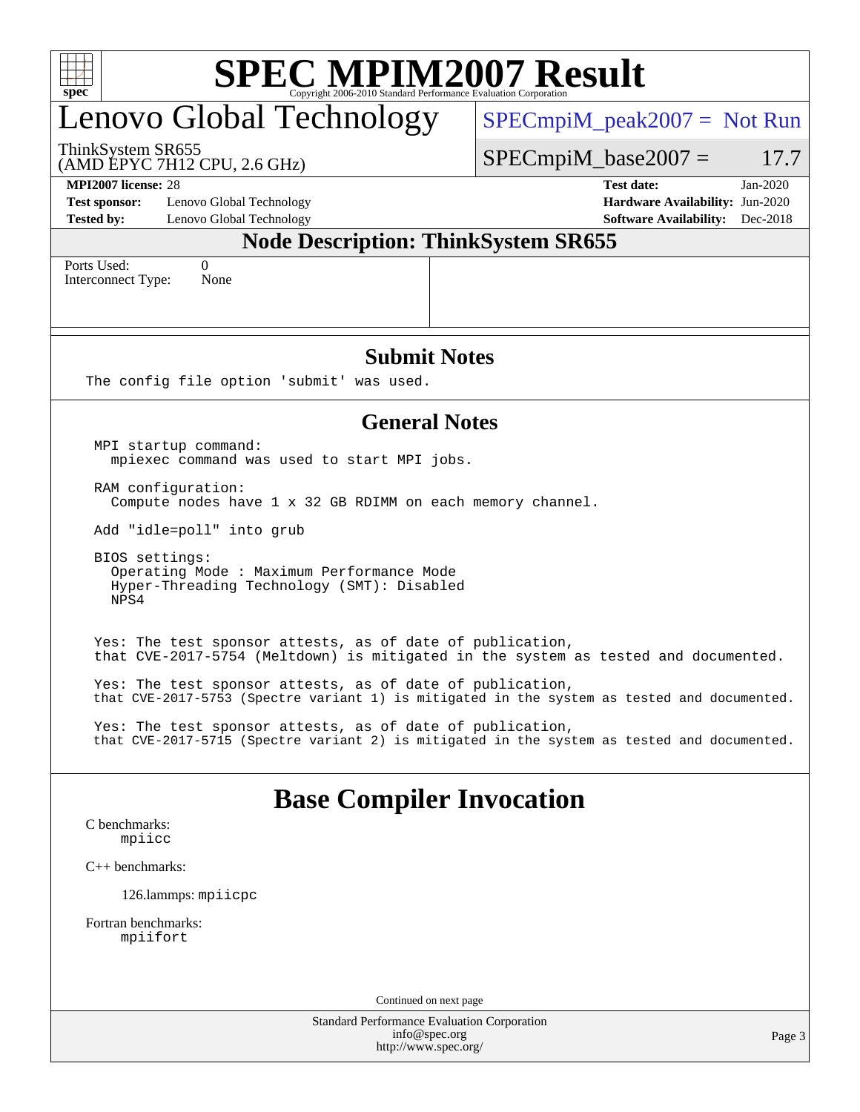| spec <sup>®</sup>                                                                                                                                        | <b>SPEC MPIM2007 Result</b><br>1 2006-2010 Standard Performance Evaluation Corporation |  |  |  |  |  |  |  |
|----------------------------------------------------------------------------------------------------------------------------------------------------------|----------------------------------------------------------------------------------------|--|--|--|--|--|--|--|
| Lenovo Global Technology                                                                                                                                 | $SPECmpiM_peak2007 = Not Run$                                                          |  |  |  |  |  |  |  |
| ThinkSystem SR655<br>(AMD EPYC 7H12 CPU, 2.6 GHz)                                                                                                        | $SPECmpiM_base2007 =$<br>17.7                                                          |  |  |  |  |  |  |  |
| <b>MPI2007</b> license: 28                                                                                                                               | <b>Test date:</b><br>$Jan-2020$                                                        |  |  |  |  |  |  |  |
| <b>Test sponsor:</b><br>Lenovo Global Technology<br>Lenovo Global Technology<br><b>Tested by:</b>                                                        | Hardware Availability: Jun-2020<br><b>Software Availability:</b> Dec-2018              |  |  |  |  |  |  |  |
|                                                                                                                                                          | <b>Node Description: ThinkSystem SR655</b>                                             |  |  |  |  |  |  |  |
| Ports Used:<br>$\theta$                                                                                                                                  |                                                                                        |  |  |  |  |  |  |  |
| Interconnect Type:<br>None                                                                                                                               |                                                                                        |  |  |  |  |  |  |  |
|                                                                                                                                                          |                                                                                        |  |  |  |  |  |  |  |
|                                                                                                                                                          |                                                                                        |  |  |  |  |  |  |  |
|                                                                                                                                                          | <b>Submit Notes</b>                                                                    |  |  |  |  |  |  |  |
| The config file option 'submit' was used.                                                                                                                |                                                                                        |  |  |  |  |  |  |  |
|                                                                                                                                                          | <b>General Notes</b>                                                                   |  |  |  |  |  |  |  |
|                                                                                                                                                          |                                                                                        |  |  |  |  |  |  |  |
| MPI startup command:<br>mpiexec command was used to start MPI jobs.                                                                                      |                                                                                        |  |  |  |  |  |  |  |
| RAM configuration:<br>Compute nodes have 1 x 32 GB RDIMM on each memory channel.                                                                         |                                                                                        |  |  |  |  |  |  |  |
| Add "idle=poll" into grub                                                                                                                                |                                                                                        |  |  |  |  |  |  |  |
| BIOS settings:<br>Operating Mode: Maximum Performance Mode<br>Hyper-Threading Technology (SMT): Disabled<br>NPS4                                         |                                                                                        |  |  |  |  |  |  |  |
| Yes: The test sponsor attests, as of date of publication,                                                                                                | that CVE-2017-5754 (Meltdown) is mitigated in the system as tested and documented.     |  |  |  |  |  |  |  |
| Yes: The test sponsor attests, as of date of publication,<br>that CVE-2017-5753 (Spectre variant 1) is mitigated in the system as tested and documented. |                                                                                        |  |  |  |  |  |  |  |
| Yes: The test sponsor attests, as of date of publication,<br>that CVE-2017-5715 (Spectre variant 2) is mitigated in the system as tested and documented. |                                                                                        |  |  |  |  |  |  |  |
|                                                                                                                                                          | <b>Base Compiler Invocation</b>                                                        |  |  |  |  |  |  |  |
| C benchmarks:<br>mpiicc                                                                                                                                  |                                                                                        |  |  |  |  |  |  |  |
| $C++$ benchmarks:                                                                                                                                        |                                                                                        |  |  |  |  |  |  |  |
| 126.lammps: mpiicpc                                                                                                                                      |                                                                                        |  |  |  |  |  |  |  |
| Fortran benchmarks:<br>mpiifort                                                                                                                          |                                                                                        |  |  |  |  |  |  |  |
|                                                                                                                                                          |                                                                                        |  |  |  |  |  |  |  |
|                                                                                                                                                          | Continued on next page<br><b>Standard Performance Evaluation Corporation</b>           |  |  |  |  |  |  |  |
|                                                                                                                                                          | info@spec.org<br>Page 3<br>http://www.spec.org/                                        |  |  |  |  |  |  |  |